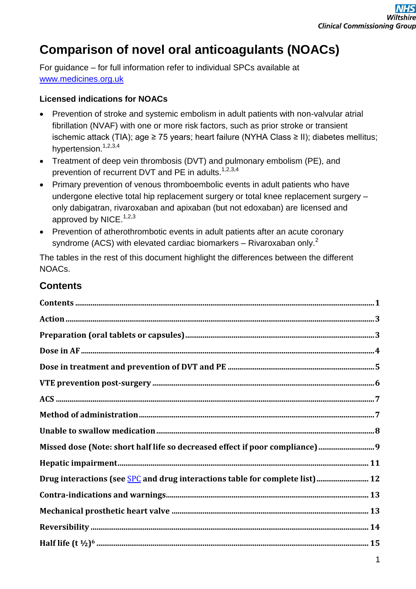# **Comparison of novel oral anticoagulants (NOACs)**

For guidance – for full information refer to individual SPCs available at [www.medicines.org.uk](http://www.medicines.org.uk/)

#### **Licensed indications for NOACs**

- Prevention of stroke and systemic embolism in adult patients with non-valvular atrial fibrillation (NVAF) with one or more risk factors, such as prior stroke or transient ischemic attack (TIA); age ≥ 75 years; heart failure (NYHA Class ≥ II); diabetes mellitus; hypertension.<sup>1,2,3,4</sup>
- Treatment of deep vein thrombosis (DVT) and pulmonary embolism (PE), and prevention of recurrent DVT and PE in adults.<sup>1,2,3,4</sup>
- Primary prevention of venous thromboembolic events in adult patients who have undergone elective total hip replacement surgery or total knee replacement surgery – only dabigatran, rivaroxaban and apixaban (but not edoxaban) are licensed and approved by NICE. $1,2,3$
- Prevention of atherothrombotic events in adult patients after an acute coronary syndrome (ACS) with elevated cardiac biomarkers – Rivaroxaban only. $^2$

The tables in the rest of this document highlight the differences between the different NOACs.

#### **Contents**

| Missed dose (Note: short half life so decreased effect if poor compliance) 9 |
|------------------------------------------------------------------------------|
|                                                                              |
|                                                                              |
|                                                                              |
|                                                                              |
|                                                                              |
|                                                                              |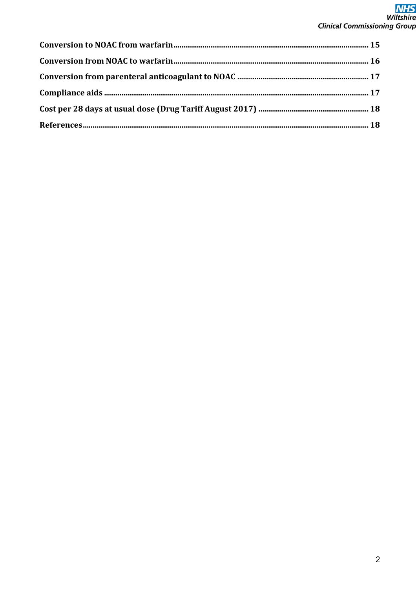# **NHS**<br>Wiltshire **Clinical Commissioning Group**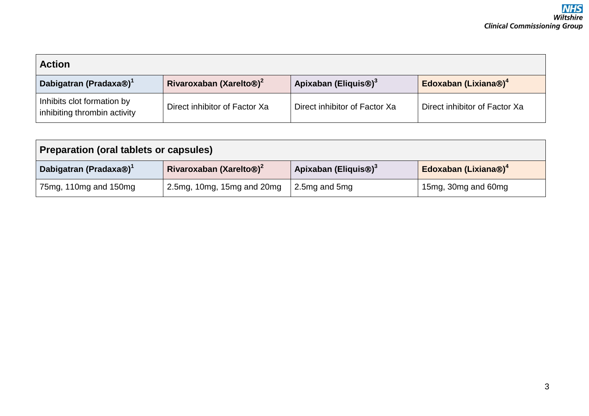| <b>Action</b>                                              |                                     |                                  |                                  |
|------------------------------------------------------------|-------------------------------------|----------------------------------|----------------------------------|
| Dabigatran (Pradaxa <sup>®</sup> ) <sup>1</sup>            | Rivaroxaban (Xarelto <sup>®)2</sup> | Apixaban (Eliquis <sup>®)3</sup> | Edoxaban (Lixiana®) <sup>4</sup> |
| Inhibits clot formation by<br>inhibiting thrombin activity | Direct inhibitor of Factor Xa       | Direct inhibitor of Factor Xa    | Direct inhibitor of Factor Xa    |

| Preparation (oral tablets or capsules)                                                                                                                         |                            |                 |                     |  |
|----------------------------------------------------------------------------------------------------------------------------------------------------------------|----------------------------|-----------------|---------------------|--|
| Apixaban (Eliquis <sup>®)3</sup><br>Edoxaban (Lixiana®) <sup>4</sup><br>Rivaroxaban (Xarelto <sup>®)2</sup><br>Dabigatran (Pradaxa <sup>®</sup> ) <sup>1</sup> |                            |                 |                     |  |
| 75mg, 110mg and 150mg                                                                                                                                          | 2.5mg, 10mg, 15mg and 20mg | 2.5mg and $5mg$ | 15mg, 30mg and 60mg |  |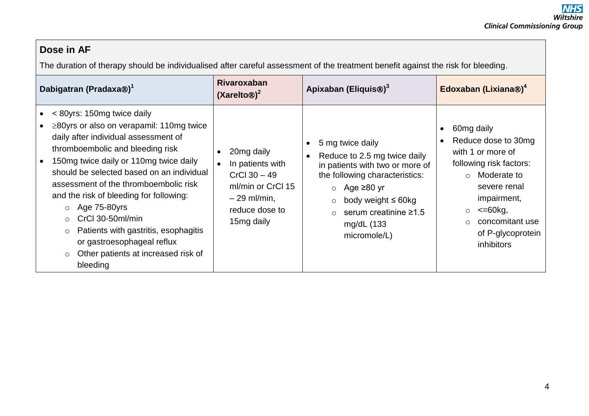### **Dose in AF**

The duration of therapy should be individualised after careful assessment of the treatment benefit against the risk for bleeding.

| Dabigatran (Pradaxa®) <sup>1</sup>                                                                                                                                                                                                                                                                                                                                                                                                                                                                                                         | <b>Rivaroxaban</b><br>$(XareIto\otimes)^2$                                                                              | Apixaban (Eliquis <sup>®)3</sup>                                                                                                                                                                                                                        | Edoxaban (Lixiana®) <sup>4</sup>                                                                                                                                                                                                                     |
|--------------------------------------------------------------------------------------------------------------------------------------------------------------------------------------------------------------------------------------------------------------------------------------------------------------------------------------------------------------------------------------------------------------------------------------------------------------------------------------------------------------------------------------------|-------------------------------------------------------------------------------------------------------------------------|---------------------------------------------------------------------------------------------------------------------------------------------------------------------------------------------------------------------------------------------------------|------------------------------------------------------------------------------------------------------------------------------------------------------------------------------------------------------------------------------------------------------|
| < 80yrs: 150mg twice daily<br>$\geq$ 80yrs or also on verapamil: 110mg twice<br>daily after individual assessment of<br>thromboembolic and bleeding risk<br>150mg twice daily or 110mg twice daily<br>should be selected based on an individual<br>assessment of the thromboembolic risk<br>and the risk of bleeding for following:<br>$\circ$ Age 75-80 yrs<br>CrCl 30-50ml/min<br>$\circ$<br>Patients with gastritis, esophagitis<br>$\circ$<br>or gastroesophageal reflux<br>Other patients at increased risk of<br>$\circ$<br>bleeding | 20mg daily<br>In patients with<br>$CrCl$ 30 $-49$<br>ml/min or CrCl 15<br>$-29$ ml/min,<br>reduce dose to<br>15mg daily | 5 mg twice daily<br>Reduce to 2.5 mg twice daily<br>in patients with two or more of<br>the following characteristics:<br>○ Age $≥80$ yr<br>body weight $\leq 60$ kg<br>$\circ$<br>serum creatinine $\geq 1.5$<br>$\Omega$<br>mg/dL (133<br>micromole/L) | 60mg daily<br>Reduce dose to 30mg<br>with 1 or more of<br>following risk factors:<br>Moderate to<br>$\circ$<br>severe renal<br>impairment,<br>$\epsilon = 60$ kg,<br>$\circ$<br>concomitant use<br>$\circ$<br>of P-glycoprotein<br><i>inhibitors</i> |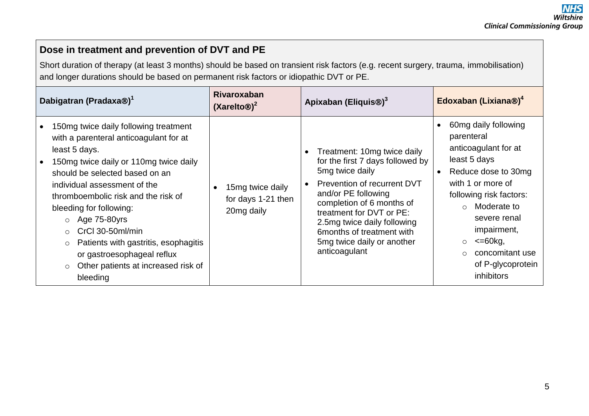### **Dose in treatment and prevention of DVT and PE**

Short duration of therapy (at least 3 months) should be based on transient risk factors (e.g. recent surgery, trauma, immobilisation) and longer durations should be based on permanent risk factors or idiopathic DVT or PE.

| Dabigatran (Pradaxa®) <sup>1</sup>                                                                                                                                                                                                                                                                                                                                                                                                                                                    | <b>Rivaroxaban</b><br>$(XareIto\otimes)^2$           | Apixaban (Eliquis <sup>®</sup> ) <sup>3</sup>                                                                                                                                                                                                                                                                              | Edoxaban (Lixiana®) <sup>4</sup>                                                                                                                                                                                                                                                                  |
|---------------------------------------------------------------------------------------------------------------------------------------------------------------------------------------------------------------------------------------------------------------------------------------------------------------------------------------------------------------------------------------------------------------------------------------------------------------------------------------|------------------------------------------------------|----------------------------------------------------------------------------------------------------------------------------------------------------------------------------------------------------------------------------------------------------------------------------------------------------------------------------|---------------------------------------------------------------------------------------------------------------------------------------------------------------------------------------------------------------------------------------------------------------------------------------------------|
| 150mg twice daily following treatment<br>with a parenteral anticoagulant for at<br>least 5 days.<br>150mg twice daily or 110mg twice daily<br>should be selected based on an<br>individual assessment of the<br>thromboembolic risk and the risk of<br>bleeding for following:<br>$\circ$ Age 75-80 yrs<br>CrCl 30-50ml/min<br>$\circ$<br>Patients with gastritis, esophagitis<br>$\circ$<br>or gastroesophageal reflux<br>Other patients at increased risk of<br>$\circ$<br>bleeding | 15mg twice daily<br>for days 1-21 then<br>20mg daily | Treatment: 10mg twice daily<br>$\bullet$<br>for the first 7 days followed by<br>5mg twice daily<br>Prevention of recurrent DVT<br>and/or PE following<br>completion of 6 months of<br>treatment for DVT or PE:<br>2.5mg twice daily following<br>6 months of treatment with<br>5mg twice daily or another<br>anticoagulant | 60mg daily following<br>parenteral<br>anticoagulant for at<br>least 5 days<br>Reduce dose to 30mg<br>with 1 or more of<br>following risk factors:<br>Moderate to<br>$\cap$<br>severe renal<br>impairment,<br>$\epsilon = 60$ kg,<br>$\circ$<br>concomitant use<br>of P-glycoprotein<br>inhibitors |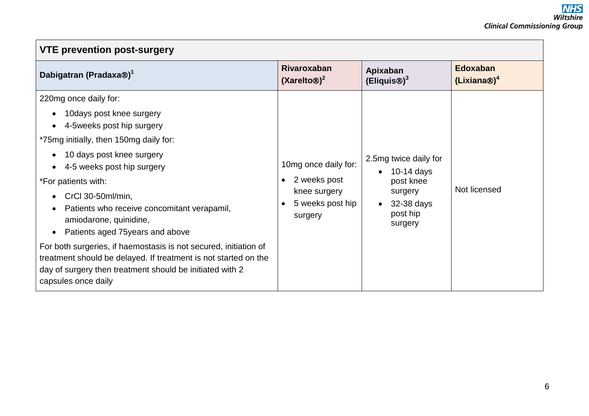| <b>VTE prevention post-surgery</b>                                                                                                                                                                                                                                                                                                                                                                                                                                                                                                                                                                                |                                                                                                  |                                                                                                    |                                            |  |
|-------------------------------------------------------------------------------------------------------------------------------------------------------------------------------------------------------------------------------------------------------------------------------------------------------------------------------------------------------------------------------------------------------------------------------------------------------------------------------------------------------------------------------------------------------------------------------------------------------------------|--------------------------------------------------------------------------------------------------|----------------------------------------------------------------------------------------------------|--------------------------------------------|--|
| Dabigatran (Pradaxa®) <sup>1</sup>                                                                                                                                                                                                                                                                                                                                                                                                                                                                                                                                                                                | <b>Rivaroxaban</b><br>$(XareIto\otimes)^2$                                                       | Apixaban<br>(Eliquis@) <sup>3</sup>                                                                | <b>Edoxaban</b><br>(Lixiana@) <sup>4</sup> |  |
| 220mg once daily for:<br>10days post knee surgery<br>$\bullet$<br>4-5 weeks post hip surgery<br>*75mg initially, then 150mg daily for:<br>10 days post knee surgery<br>$\bullet$<br>4-5 weeks post hip surgery<br>*For patients with:<br>CrCl 30-50ml/min,<br>$\bullet$<br>Patients who receive concomitant verapamil,<br>$\bullet$<br>amiodarone, quinidine,<br>Patients aged 75 years and above<br>$\bullet$<br>For both surgeries, if haemostasis is not secured, initiation of<br>treatment should be delayed. If treatment is not started on the<br>day of surgery then treatment should be initiated with 2 | 10mg once daily for:<br>2 weeks post<br>$\bullet$<br>knee surgery<br>5 weeks post hip<br>surgery | 2.5mg twice daily for<br>$10-14$ days<br>post knee<br>surgery<br>32-38 days<br>post hip<br>surgery | Not licensed                               |  |
| capsules once daily                                                                                                                                                                                                                                                                                                                                                                                                                                                                                                                                                                                               |                                                                                                  |                                                                                                    |                                            |  |

 $\Gamma$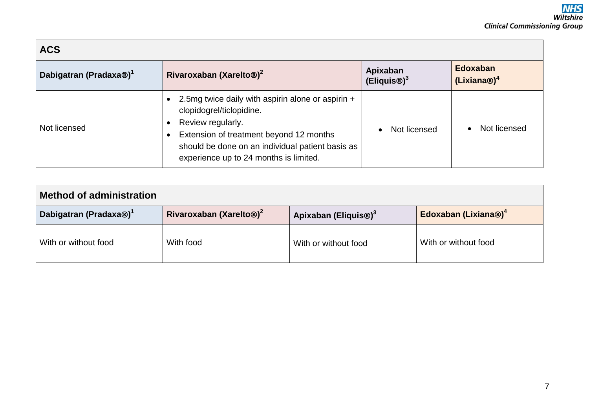| <b>ACS</b>                                      |                                                                                                                                                                                                                                             |                                     |                                            |  |
|-------------------------------------------------|---------------------------------------------------------------------------------------------------------------------------------------------------------------------------------------------------------------------------------------------|-------------------------------------|--------------------------------------------|--|
| Dabigatran (Pradaxa <sup>®</sup> ) <sup>1</sup> | Rivaroxaban (Xarelto <sup>®</sup> ) <sup>2</sup>                                                                                                                                                                                            | Apixaban<br>(Eliquis <sup>®)3</sup> | <b>Edoxaban</b><br>(Lixiana@) <sup>4</sup> |  |
| Not licensed                                    | 2.5mg twice daily with aspirin alone or aspirin +<br>clopidogrel/ticlopidine.<br>Review regularly.<br>Extension of treatment beyond 12 months<br>should be done on an individual patient basis as<br>experience up to 24 months is limited. | Not licensed                        | Not licensed                               |  |

| <b>Method of administration</b>    |                                     |                                  |                                  |  |
|------------------------------------|-------------------------------------|----------------------------------|----------------------------------|--|
| Dabigatran (Pradaxa®) <sup>1</sup> | Rivaroxaban (Xarelto <sup>®)2</sup> | Apixaban (Eliquis <sup>®)3</sup> | Edoxaban (Lixiana®) <sup>4</sup> |  |
| With or without food               | With food                           | With or without food             | With or without food             |  |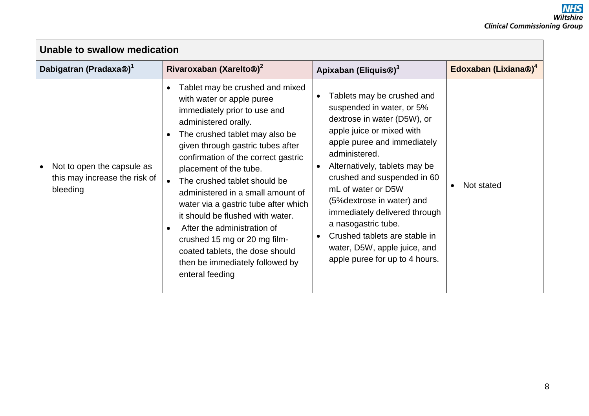| Unable to swallow medication                                            |                                                                                                                                                                                                                                                                                                                                                                                                                                                                                                                                                                                                              |                                                                                                                                                                                                                                                                                                                                                                                                                                                                                           |                                  |  |
|-------------------------------------------------------------------------|--------------------------------------------------------------------------------------------------------------------------------------------------------------------------------------------------------------------------------------------------------------------------------------------------------------------------------------------------------------------------------------------------------------------------------------------------------------------------------------------------------------------------------------------------------------------------------------------------------------|-------------------------------------------------------------------------------------------------------------------------------------------------------------------------------------------------------------------------------------------------------------------------------------------------------------------------------------------------------------------------------------------------------------------------------------------------------------------------------------------|----------------------------------|--|
| Dabigatran (Pradaxa <sup>®</sup> ) <sup>1</sup>                         | Rivaroxaban (Xarelto <sup>®)2</sup>                                                                                                                                                                                                                                                                                                                                                                                                                                                                                                                                                                          | Apixaban (Eliquis <sup>®</sup> ) <sup>3</sup>                                                                                                                                                                                                                                                                                                                                                                                                                                             | Edoxaban (Lixiana®) <sup>4</sup> |  |
| Not to open the capsule as<br>this may increase the risk of<br>bleeding | Tablet may be crushed and mixed<br>$\bullet$<br>with water or apple puree<br>immediately prior to use and<br>administered orally.<br>The crushed tablet may also be<br>$\bullet$<br>given through gastric tubes after<br>confirmation of the correct gastric<br>placement of the tube.<br>The crushed tablet should be<br>administered in a small amount of<br>water via a gastric tube after which<br>it should be flushed with water.<br>After the administration of<br>$\bullet$<br>crushed 15 mg or 20 mg film-<br>coated tablets, the dose should<br>then be immediately followed by<br>enteral feeding | Tablets may be crushed and<br>$\bullet$<br>suspended in water, or 5%<br>dextrose in water (D5W), or<br>apple juice or mixed with<br>apple puree and immediately<br>administered.<br>Alternatively, tablets may be<br>$\bullet$<br>crushed and suspended in 60<br>mL of water or D5W<br>(5% dextrose in water) and<br>immediately delivered through<br>a nasogastric tube.<br>Crushed tablets are stable in<br>$\bullet$<br>water, D5W, apple juice, and<br>apple puree for up to 4 hours. | Not stated                       |  |

 $\mathbf{r}$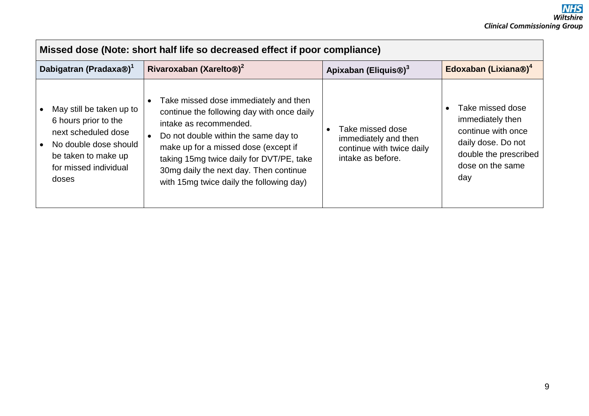| Missed dose (Note: short half life so decreased effect if poor compliance)                                                                                |                                                                                                                                                                                                                                                                                                                                 |                                                                                            |                                                                                                                                      |  |
|-----------------------------------------------------------------------------------------------------------------------------------------------------------|---------------------------------------------------------------------------------------------------------------------------------------------------------------------------------------------------------------------------------------------------------------------------------------------------------------------------------|--------------------------------------------------------------------------------------------|--------------------------------------------------------------------------------------------------------------------------------------|--|
| Dabigatran (Pradaxa®) <sup>1</sup>                                                                                                                        | Rivaroxaban (Xarelto <sup>®)2</sup>                                                                                                                                                                                                                                                                                             | Apixaban (Eliquis <sup>®)3</sup>                                                           | Edoxaban (Lixiana®) <sup>4</sup>                                                                                                     |  |
| May still be taken up to<br>6 hours prior to the<br>next scheduled dose<br>No double dose should<br>be taken to make up<br>for missed individual<br>doses | Take missed dose immediately and then<br>continue the following day with once daily<br>intake as recommended.<br>Do not double within the same day to<br>make up for a missed dose (except if<br>taking 15mg twice daily for DVT/PE, take<br>30mg daily the next day. Then continue<br>with 15mg twice daily the following day) | Take missed dose<br>immediately and then<br>continue with twice daily<br>intake as before. | Take missed dose<br>immediately then<br>continue with once<br>daily dose. Do not<br>double the prescribed<br>dose on the same<br>day |  |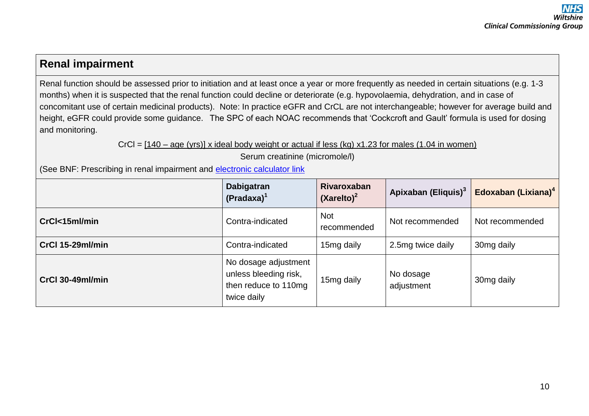# **Renal impairment**

Renal function should be assessed prior to initiation and at least once a year or more frequently as needed in certain situations (e.g. 1-3 months) when it is suspected that the renal function could decline or deteriorate (e.g. hypovolaemia, dehydration, and in case of concomitant use of certain medicinal products). Note: In practice eGFR and CrCL are not interchangeable; however for average build and height, eGFR could provide some guidance. The SPC of each NOAC recommends that 'Cockcroft and Gault' formula is used for dosing and monitoring.

 $CrCl = [140 - age (yrs)]$  x ideal body weight or actual if less (kg) x1.23 for males (1.04 in women)

Serum creatinine (micromole/l)

(See BNF: Prescribing in renal impairment and [electronic calculator link](http://www.medicinescomplete.com/mc/bnf/current/PHP18586-creatinine-%20clearance.htm)

|                  | <b>Dabigatran</b><br>$(Pradaxa)^1$                                                   | <b>Rivaroxaban</b><br>$(Xarelto)^2$ | Apixaban (Eliquis) <sup>3</sup> | Edoxaban (Lixiana) <sup>4</sup> |
|------------------|--------------------------------------------------------------------------------------|-------------------------------------|---------------------------------|---------------------------------|
| CrCl<15ml/min    | Contra-indicated                                                                     | <b>Not</b><br>recommended           | Not recommended                 | Not recommended                 |
| CrCl 15-29ml/min | Contra-indicated                                                                     | 15mg daily                          | 2.5mg twice daily               | 30mg daily                      |
| CrCl 30-49ml/min | No dosage adjustment<br>unless bleeding risk,<br>then reduce to 110mg<br>twice daily | 15mg daily                          | No dosage<br>adjustment         | 30mg daily                      |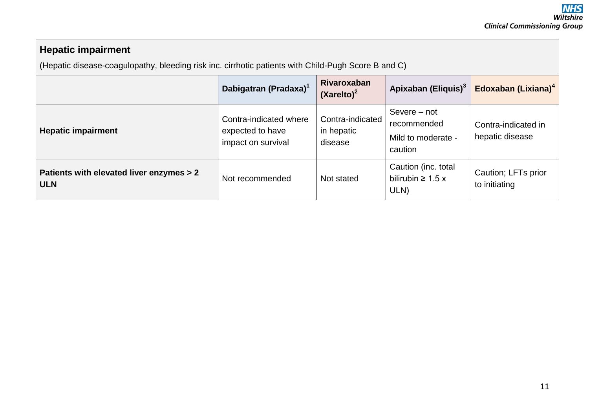## **Hepatic impairment**

(Hepatic disease-coagulopathy, bleeding risk inc. cirrhotic patients with Child-Pugh Score B and C)

|                                                        | Dabigatran (Pradaxa) <sup>1</sup>                                | Rivaroxaban<br>$(Xarelto)^2$              | Apixaban (Eliquis) <sup>3</sup>                              | Edoxaban (Lixiana) <sup>4</sup>        |
|--------------------------------------------------------|------------------------------------------------------------------|-------------------------------------------|--------------------------------------------------------------|----------------------------------------|
| <b>Hepatic impairment</b>                              | Contra-indicated where<br>expected to have<br>impact on survival | Contra-indicated<br>in hepatic<br>disease | Severe – not<br>recommended<br>Mild to moderate -<br>caution | Contra-indicated in<br>hepatic disease |
| Patients with elevated liver enzymes > 2<br><b>ULN</b> | Not recommended                                                  | Not stated                                | Caution (inc. total<br>bilirubin $\geq 1.5$ x<br>ULN)        | Caution; LFTs prior<br>to initiating   |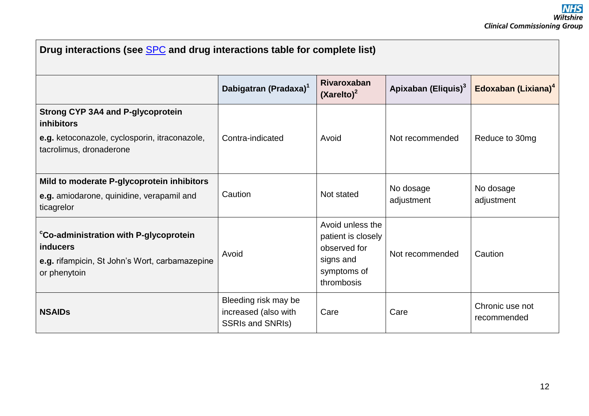| Drug interactions (see SPC and drug interactions table for complete list)                                                                 |                                                                         |                                                                                                  |                                 |                                 |
|-------------------------------------------------------------------------------------------------------------------------------------------|-------------------------------------------------------------------------|--------------------------------------------------------------------------------------------------|---------------------------------|---------------------------------|
|                                                                                                                                           | Dabigatran (Pradaxa) <sup>1</sup>                                       | Rivaroxaban<br>$(Xarelto)^2$                                                                     | Apixaban (Eliquis) <sup>3</sup> | Edoxaban (Lixiana) <sup>4</sup> |
| <b>Strong CYP 3A4 and P-glycoprotein</b><br><b>inhibitors</b><br>e.g. ketoconazole, cyclosporin, itraconazole,<br>tacrolimus, dronaderone | Contra-indicated                                                        | Avoid                                                                                            | Not recommended                 | Reduce to 30mg                  |
| Mild to moderate P-glycoprotein inhibitors<br>e.g. amiodarone, quinidine, verapamil and<br>ticagrelor                                     | Caution                                                                 | Not stated                                                                                       | No dosage<br>adjustment         | No dosage<br>adjustment         |
| <sup>c</sup> Co-administration with P-glycoprotein<br><b>inducers</b><br>e.g. rifampicin, St John's Wort, carbamazepine<br>or phenytoin   | Avoid                                                                   | Avoid unless the<br>patient is closely<br>observed for<br>signs and<br>symptoms of<br>thrombosis | Not recommended                 | Caution                         |
| <b>NSAIDs</b>                                                                                                                             | Bleeding risk may be<br>increased (also with<br><b>SSRIs and SNRIs)</b> | Care                                                                                             | Care                            | Chronic use not<br>recommended  |

 $\Gamma$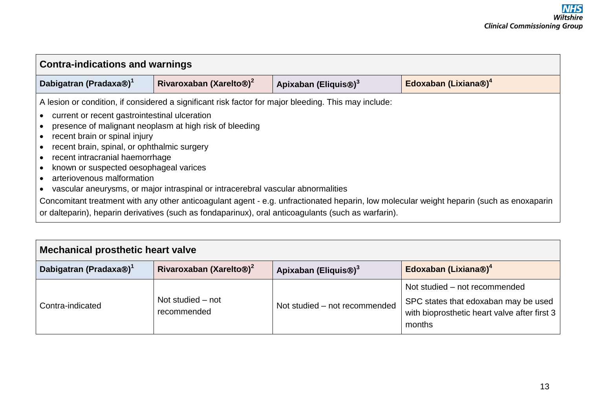| <b>Contra-indications and warnings</b>                                                                                                                                                                                                   |                                                                                                                                             |                                                                                                      |                                                                                                                                          |  |
|------------------------------------------------------------------------------------------------------------------------------------------------------------------------------------------------------------------------------------------|---------------------------------------------------------------------------------------------------------------------------------------------|------------------------------------------------------------------------------------------------------|------------------------------------------------------------------------------------------------------------------------------------------|--|
| Dabigatran (Pradaxa®) <sup>1</sup>                                                                                                                                                                                                       | Rivaroxaban (Xarelto <sup>®)2</sup><br>Apixaban (Eliquis <sup>®)3</sup>                                                                     |                                                                                                      | Edoxaban (Lixiana®) <sup>4</sup>                                                                                                         |  |
| current or recent gastrointestinal ulceration<br>recent brain or spinal injury<br>recent brain, spinal, or ophthalmic surgery<br>recent intracranial haemorrhage<br>known or suspected oesophageal varices<br>arteriovenous malformation | presence of malignant neoplasm at high risk of bleeding<br>vascular aneurysms, or major intraspinal or intracerebral vascular abnormalities | A lesion or condition, if considered a significant risk factor for major bleeding. This may include: | Concomitant treatment with any other anticoagulant agent - e.g. unfractionated heparin, low molecular weight heparin (such as enoxaparin |  |
| or dalteparin), heparin derivatives (such as fondaparinux), oral anticoagulants (such as warfarin).                                                                                                                                      |                                                                                                                                             |                                                                                                      |                                                                                                                                          |  |

| <b>Mechanical prosthetic heart valve</b>        |                                     |                                  |                                                                                                                                   |
|-------------------------------------------------|-------------------------------------|----------------------------------|-----------------------------------------------------------------------------------------------------------------------------------|
| Dabigatran (Pradaxa <sup>®</sup> ) <sup>1</sup> | Rivaroxaban (Xarelto®) <sup>2</sup> | Apixaban (Eliquis <sup>®)3</sup> | Edoxaban (Lixiana®) <sup>4</sup>                                                                                                  |
| Contra-indicated                                | Not studied – not<br>recommended    | Not studied - not recommended    | Not studied – not recommended<br>SPC states that edoxaban may be used<br>with bioprosthetic heart valve after first $3$<br>months |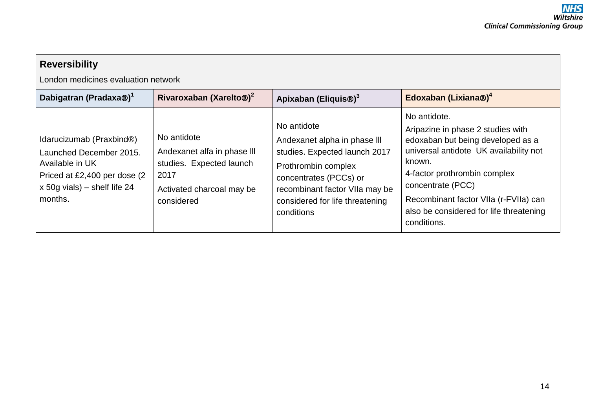| <b>Reversibility</b><br>London medicines evaluation network                                                                                                     |                                                                                                                           |                                                                                                                                                                                                                  |                                                                                                                                                                                                                                                                                                    |  |
|-----------------------------------------------------------------------------------------------------------------------------------------------------------------|---------------------------------------------------------------------------------------------------------------------------|------------------------------------------------------------------------------------------------------------------------------------------------------------------------------------------------------------------|----------------------------------------------------------------------------------------------------------------------------------------------------------------------------------------------------------------------------------------------------------------------------------------------------|--|
| Dabigatran (Pradaxa®) <sup>1</sup>                                                                                                                              | Rivaroxaban (Xarelto <sup>®)2</sup>                                                                                       | Apixaban (Eliquis <sup>®)3</sup>                                                                                                                                                                                 | Edoxaban (Lixiana®) <sup>4</sup>                                                                                                                                                                                                                                                                   |  |
| Idarucizumab (Praxbind®)<br>Launched December 2015.<br>Available in UK<br>Priced at £2,400 per dose (2)<br>$\overline{x}$ 50g vials) – shelf life 24<br>months. | No antidote<br>Andexanet alfa in phase III<br>studies. Expected launch<br>2017<br>Activated charcoal may be<br>considered | No antidote<br>Andexanet alpha in phase III<br>studies. Expected launch 2017<br>Prothrombin complex<br>concentrates (PCCs) or<br>recombinant factor VIIa may be<br>considered for life threatening<br>conditions | No antidote.<br>Aripazine in phase 2 studies with<br>edoxaban but being developed as a<br>universal antidote UK availability not<br>known.<br>4-factor prothrombin complex<br>concentrate (PCC)<br>Recombinant factor VIIa (r-FVIIa) can<br>also be considered for life threatening<br>conditions. |  |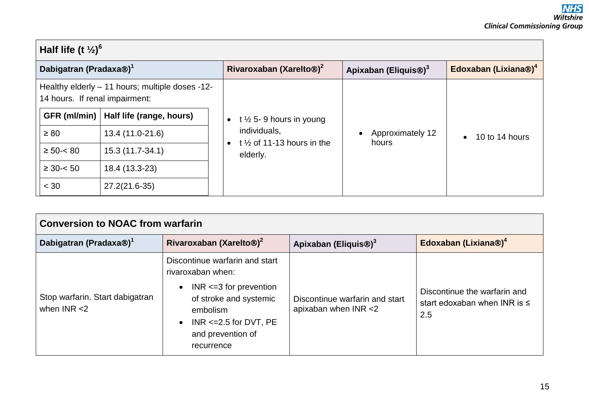#### **Half life (t ½)<sup>6</sup> Dabigatran (Pradaxa) <sup>1</sup> Rivaroxaban (Xarelto) 2 Apixaban (Eliquis) <sup>3</sup> Edoxaban (Lixiana) 4** Healthy elderly – 11 hours; multiple doses -12- 14 hours. If renal impairment: **GFR (ml/min) Half life (range, hours)**   $\geq$  80 13.4 (11.0-21.6)  $≥ 50 - < 80$  15.3 (11.7-34.1)  $≥ 30 - < 50$  18.4 (13.3-23)  $< 30$  27.2(21.6-35)  $\cdot$  t  $\frac{1}{2}$  5- 9 hours in young individuals,  $\bullet$  t  $\frac{1}{2}$  of 11-13 hours in the elderly. • Approximately 12 Approximately 12 <br>hours **10** to 14 hours

| <b>Conversion to NOAC from warfarin</b>           |                                                                                                                                                                                                                       |                                                        |                                                                          |
|---------------------------------------------------|-----------------------------------------------------------------------------------------------------------------------------------------------------------------------------------------------------------------------|--------------------------------------------------------|--------------------------------------------------------------------------|
| Dabigatran (Pradaxa®) <sup>1</sup>                | Rivaroxaban (Xarelto <sup>®</sup> ) <sup>2</sup>                                                                                                                                                                      | Apixaban (Eliquis <sup>®</sup> ) <sup>3</sup>          | Edoxaban (Lixiana®) <sup>4</sup>                                         |
| Stop warfarin. Start dabigatran<br>when $INR < 2$ | Discontinue warfarin and start<br>rivaroxaban when:<br>$INR \leq 3$ for prevention<br>$\bullet$<br>of stroke and systemic<br>embolism<br>INR $\leq$ = 2.5 for DVT, PE<br>$\bullet$<br>and prevention of<br>recurrence | Discontinue warfarin and start<br>apixaban when INR <2 | Discontinue the warfarin and<br>start edoxaban when INR is $\leq$<br>2.5 |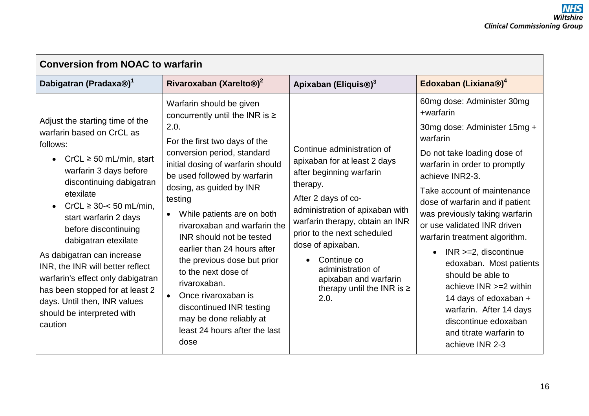| <b>Conversion from NOAC to warfarin</b>                                                                                                                                                                                                                                                                                                                                                                                                                                                                           |                                                                                                                                                                                                                                                                                                                                                                                                                                                                                                                                                                                        |                                                                                                                                                                                                                                                                                                                                                            |                                                                                                                                                                                                                                                                                                                                                                                                                                                                                                                                                                                               |  |
|-------------------------------------------------------------------------------------------------------------------------------------------------------------------------------------------------------------------------------------------------------------------------------------------------------------------------------------------------------------------------------------------------------------------------------------------------------------------------------------------------------------------|----------------------------------------------------------------------------------------------------------------------------------------------------------------------------------------------------------------------------------------------------------------------------------------------------------------------------------------------------------------------------------------------------------------------------------------------------------------------------------------------------------------------------------------------------------------------------------------|------------------------------------------------------------------------------------------------------------------------------------------------------------------------------------------------------------------------------------------------------------------------------------------------------------------------------------------------------------|-----------------------------------------------------------------------------------------------------------------------------------------------------------------------------------------------------------------------------------------------------------------------------------------------------------------------------------------------------------------------------------------------------------------------------------------------------------------------------------------------------------------------------------------------------------------------------------------------|--|
| Dabigatran (Pradaxa <sup>®</sup> ) <sup>1</sup>                                                                                                                                                                                                                                                                                                                                                                                                                                                                   | Rivaroxaban (Xarelto <sup>®)2</sup>                                                                                                                                                                                                                                                                                                                                                                                                                                                                                                                                                    | Apixaban (Eliquis <sup>®)3</sup>                                                                                                                                                                                                                                                                                                                           | Edoxaban (Lixiana®) <sup>4</sup>                                                                                                                                                                                                                                                                                                                                                                                                                                                                                                                                                              |  |
| Adjust the starting time of the<br>warfarin based on CrCL as<br>follows:<br>$CrCL \ge 50$ mL/min, start<br>$\bullet$<br>warfarin 3 days before<br>discontinuing dabigatran<br>etexilate<br>$CrCL \ge 30 < 50$ mL/min.<br>start warfarin 2 days<br>before discontinuing<br>dabigatran etexilate<br>As dabigatran can increase<br>INR, the INR will better reflect<br>warfarin's effect only dabigatran<br>has been stopped for at least 2<br>days. Until then, INR values<br>should be interpreted with<br>caution | Warfarin should be given<br>concurrently until the INR is $\ge$<br>2.0.<br>For the first two days of the<br>conversion period, standard<br>initial dosing of warfarin should<br>be used followed by warfarin<br>dosing, as guided by INR<br>testing<br>While patients are on both<br>rivaroxaban and warfarin the<br>INR should not be tested<br>earlier than 24 hours after<br>the previous dose but prior<br>to the next dose of<br>rivaroxaban.<br>Once rivaroxaban is<br>$\bullet$<br>discontinued INR testing<br>may be done reliably at<br>least 24 hours after the last<br>dose | Continue administration of<br>apixaban for at least 2 days<br>after beginning warfarin<br>therapy.<br>After 2 days of co-<br>administration of apixaban with<br>warfarin therapy, obtain an INR<br>prior to the next scheduled<br>dose of apixaban.<br>Continue co<br>administration of<br>apixaban and warfarin<br>therapy until the INR is $\ge$<br>2.0. | 60mg dose: Administer 30mg<br>+warfarin<br>30mg dose: Administer 15mg +<br>warfarin<br>Do not take loading dose of<br>warfarin in order to promptly<br>achieve INR2-3.<br>Take account of maintenance<br>dose of warfarin and if patient<br>was previously taking warfarin<br>or use validated INR driven<br>warfarin treatment algorithm.<br>$INR > = 2$ , discontinue<br>$\bullet$<br>edoxaban. Most patients<br>should be able to<br>achieve $INR \geq 2$ within<br>14 days of edoxaban +<br>warfarin. After 14 days<br>discontinue edoxaban<br>and titrate warfarin to<br>achieve INR 2-3 |  |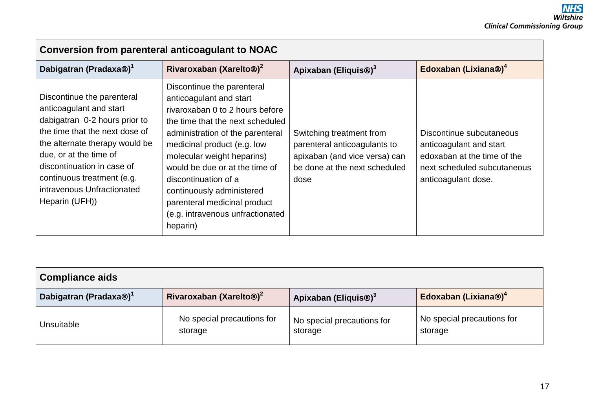| Conversion from parenteral anticoagulant to NOAC                                                                                                                                                                                                                                                 |                                                                                                                                                                                                                                                                                                                                                                                                      |                                                                                                                                    |                                                                                                                                          |  |
|--------------------------------------------------------------------------------------------------------------------------------------------------------------------------------------------------------------------------------------------------------------------------------------------------|------------------------------------------------------------------------------------------------------------------------------------------------------------------------------------------------------------------------------------------------------------------------------------------------------------------------------------------------------------------------------------------------------|------------------------------------------------------------------------------------------------------------------------------------|------------------------------------------------------------------------------------------------------------------------------------------|--|
| Dabigatran (Pradaxa <sup>®</sup> ) <sup>1</sup>                                                                                                                                                                                                                                                  | Rivaroxaban (Xarelto <sup>®)2</sup>                                                                                                                                                                                                                                                                                                                                                                  | Apixaban (Eliquis <sup>®</sup> ) <sup>3</sup>                                                                                      | Edoxaban (Lixiana®) <sup>4</sup>                                                                                                         |  |
| Discontinue the parenteral<br>anticoagulant and start<br>dabigatran 0-2 hours prior to<br>the time that the next dose of<br>the alternate therapy would be<br>due, or at the time of<br>discontinuation in case of<br>continuous treatment (e.g.<br>intravenous Unfractionated<br>Heparin (UFH)) | Discontinue the parenteral<br>anticoagulant and start<br>rivaroxaban 0 to 2 hours before<br>the time that the next scheduled<br>administration of the parenteral<br>medicinal product (e.g. low<br>molecular weight heparins)<br>would be due or at the time of<br>discontinuation of a<br>continuously administered<br>parenteral medicinal product<br>(e.g. intravenous unfractionated<br>heparin) | Switching treatment from<br>parenteral anticoagulants to<br>apixaban (and vice versa) can<br>be done at the next scheduled<br>dose | Discontinue subcutaneous<br>anticoagulant and start<br>edoxaban at the time of the<br>next scheduled subcutaneous<br>anticoagulant dose. |  |

| <b>Compliance aids</b>             |                                       |                                       |                                       |
|------------------------------------|---------------------------------------|---------------------------------------|---------------------------------------|
| Dabigatran (Pradaxa®) <sup>1</sup> | Rivaroxaban (Xarelto <sup>®)2</sup>   | Apixaban (Eliquis <sup>®)3</sup>      | Edoxaban (Lixiana®) <sup>4</sup>      |
| Unsuitable                         | No special precautions for<br>storage | No special precautions for<br>storage | No special precautions for<br>storage |